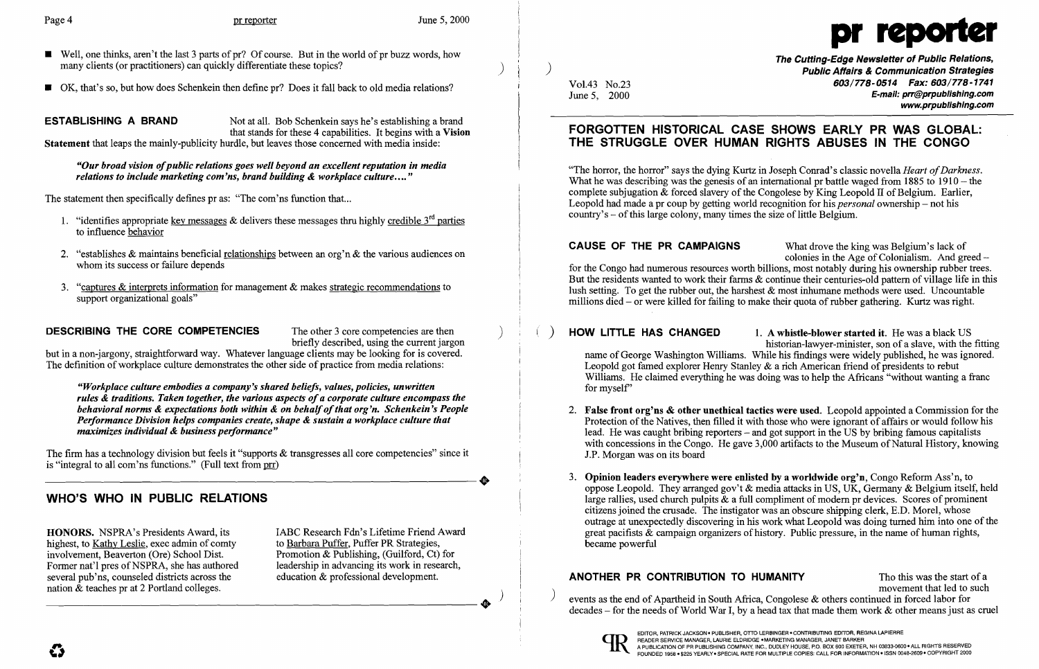- **a** Well, one thinks, aren't the last 3 parts of pr? Of course. But in the world of pr buzz words, how **The Cutting-Edge Newsletter of Public Relations,**<br>The Cutting-Edge Newsletter of Public Relations,<br>Public Affairs & C many clients (or practitioners) can quickly differentiate these topics?
- OK, that's so, but how does Schenkein then define pr? Does it fall back to old media relations?



**ESTABLISHING A BRAND** Not at all. Bob Schenkein says he's establishing a brand that stands for these 4 capabilities. It begins with a Vision Statement that leaps the mainly-publicity hurdle, but leaves those concerned with media inside:

but in a non-jargony, straightforward way. Whatever language clients may be looking for is covered. The definition of workplace culture demonstrates the other side of practice from media relations:

*"Our broad vision ofpublic relations goes well beyond an excellent reputation in media relations to include marketing com'ns, brand building* & *workplace culture.... "* 

The statement then specifically defines pr as: "The com'ns function that...

- 1. "identifies appropriate key messages & delivers these messages thru highly credible  $3^{rd}$  parties to influence behavior
- 2. "establishes & maintains beneficial relationships between an org'n & the various audiences on whom its success or failure depends
- "captures  $\&$  interprets information for management  $\&$  makes strategic recommendations to support organizational goals"

**DESCRIBING THE CORE COMPETENCIES** The other 3 core competencies are then briefly described, using the current jargon

Vol.43 No.23 **603/778-0514 Fax: 603/778-1741**<br>June 5. 2000 **603/778-0514 E-mail: prr@prpublishing.com** E-mail: prr@prpublishing.com www.prpublishing.com

2. False front org'ns & other unethical tactics were used. Leopold appointed a Commission for the Protection of the Natives, then filled it with those who were ignorant of affairs or would follow his lead. He was caught bribing reporters – and got support in the US by bribing famous capitalists with concessions in the Congo. He gave 3,000 artifacts to the Museum of Natural History, knowing

CAUSE OF THE PR CAMPAIGNS What drove the king was Belgium's lack of colonies in the Age of Colonialism. And greed  $$ for the Congo had numerous resources worth billions, most notably during his ownership rubber trees. But the residents wanted to work their farms & continue their centuries-old pattern of village life in this lush setting. To get the rubber out, the harshest  $\&$  most inhumane methods were used. Uncountable millions died – or were killed for failing to make their quota of rubber gathering. Kurtz was right.

*"Workplace culture embodies a company's shared beliefs, values, policies, unwritten rules* & *traditions. Taken together, the various aspects ofa corporate culture encompass the behavioral norms & expectations both within & on behalf of that org'n. Schenkein's People Performance Division helps companies create, shape* & *sustain a workplace culture that maximizes individual* & *business performance"* 

The firm has a technology division but feels it "supports & transgresses all core competencies" since it is "integral to all com'ns functions." (Full text from  $prr$ ) is "integral to all com'ns functions." (Full text from  $\frac{p}{p}$ )

# WHO'S WHO IN PUBLIC RELATIONS

**HONORS.** NSPRA's Presidents Award, its IABC Research Fdn's Lifetime Friend Award highest, to Kathy Leslie, exec admin of comty to Barbara Puffer, Puffer PR Strategies, highest, to Kathy Leslie, exec admin of comty<br>involvement, Beaverton (Ore) School Dist. Former nat'l pres of NSPRA, she has authored leadership in advancing its work in rese<br>several pub'ns, counseled districts across the education & professional development. several pub'ns, counseled districts across the nation  $\&$  teaches pr at 2 Portland colleges.

Promotion & Publishing, (Guilford, Ct) for leadership in advancing its work in research,  $\longrightarrow^{\bullet}$ 

ANOTHER PR CONTRIBUTION TO HUMANITY The this was the start of a<br>movement that led to such events as the end of Apartheid in South Africa, Congolese  $\&$  others continued in forced labor for decades - for the needs of World War I, by a head tax that made them work & other means just as cruel



# FORGOTTEN HISTORICAL CASE SHOWS EARLY PR WAS GLOBAL: THE STRUGGLE OVER HUMAN RIGHTS ABUSES IN THE CONGO

"The horror, the horror" says the dying Kurtz in Joseph Conrad's classic novella *Heart of Darkness*. What he was describing was the genesis of an international pr battle waged from 1885 to 1910 – the complete subjugation  $\&$  forced slavery of the Congolese by King Leopold II of Belgium. Earlier, Leopold had made a pr coup by getting world recognition for his *personal* ownership – not his  $country's - of this large colony, many times the size of little Belgium.$ 

) HOW LITTLE HAS CHANGED 1. A whistle-blower started it. He was a black US historian-lawyer-minister, son of a slave, with the fitting name of George Washington Williams. While his findings were widely published, he was ignored. Leopold got famed explorer Henry Stanley & a rich American friend of presidents to rebut Williams. He claimed everything he was doing was to help the Africans "without wanting a france" for myself'

- 1.P. Morgan was on its board
- became powerful

3. Opinion leaders everywhere were enlisted by a worldwide org'n, Congo Reform Ass'n, to oppose Leopold. They arranged gov't & media attacks in US, UK, Germany & Belgium itself, held large rallies, used church pulpits & a full compliment of modern pr devices. Scores of prominent citizens joined the crusade. The instigator was an obscure shipping clerk, E.D. Morel, whose outrage at unexpectedly discovering in his work what Leopold was doing turned him into one of the great pacifists & campaign organizers of history. Public pressure, in the name of human rights,